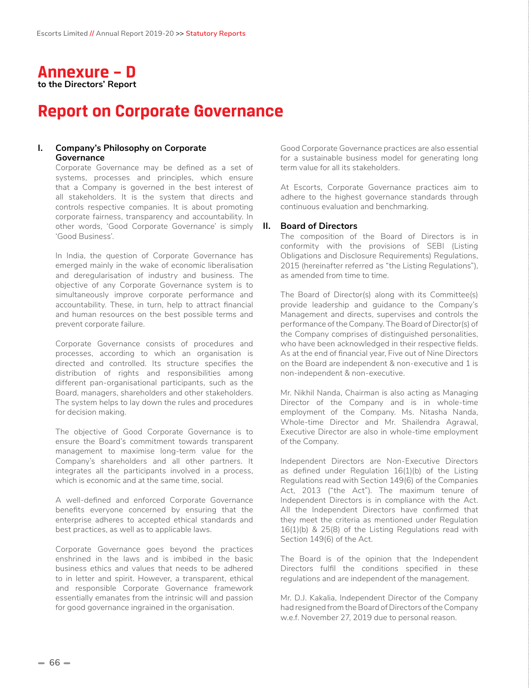

# **Report on Corporate Governance**

# **I. Company's Philosophy on Corporate Governance**

Corporate Governance may be defined as a set of systems, processes and principles, which ensure that a Company is governed in the best interest of all stakeholders. It is the system that directs and controls respective companies. It is about promoting corporate fairness, transparency and accountability. In other words, 'Good Corporate Governance' is simply **II. Board of Directors** 'Good Business'.

In India, the question of Corporate Governance has emerged mainly in the wake of economic liberalisation and deregularisation of industry and business. The objective of any Corporate Governance system is to simultaneously improve corporate performance and accountability. These, in turn, help to attract financial and human resources on the best possible terms and prevent corporate failure.

Corporate Governance consists of procedures and processes, according to which an organisation is directed and controlled. Its structure specifies the distribution of rights and responsibilities among different pan-organisational participants, such as the Board, managers, shareholders and other stakeholders. The system helps to lay down the rules and procedures for decision making.

The objective of Good Corporate Governance is to ensure the Board's commitment towards transparent management to maximise long-term value for the Company's shareholders and all other partners. It integrates all the participants involved in a process, which is economic and at the same time, social.

A well-defined and enforced Corporate Governance benefits everyone concerned by ensuring that the enterprise adheres to accepted ethical standards and best practices, as well as to applicable laws.

Corporate Governance goes beyond the practices enshrined in the laws and is imbibed in the basic business ethics and values that needs to be adhered to in letter and spirit. However, a transparent, ethical and responsible Corporate Governance framework essentially emanates from the intrinsic will and passion for good governance ingrained in the organisation.

Good Corporate Governance practices are also essential for a sustainable business model for generating long term value for all its stakeholders.

At Escorts, Corporate Governance practices aim to adhere to the highest governance standards through continuous evaluation and benchmarking.

The composition of the Board of Directors is in conformity with the provisions of SEBI (Listing Obligations and Disclosure Requirements) Regulations, 2015 (hereinafter referred as "the Listing Regulations"), as amended from time to time.

The Board of Director(s) along with its Committee(s) provide leadership and guidance to the Company's Management and directs, supervises and controls the performance of the Company. The Board of Director(s) of the Company comprises of distinguished personalities, who have been acknowledged in their respective fields. As at the end of financial year, Five out of Nine Directors on the Board are independent & non-executive and 1 is non-independent & non-executive.

Mr. Nikhil Nanda, Chairman is also acting as Managing Director of the Company and is in whole-time employment of the Company. Ms. Nitasha Nanda, Whole-time Director and Mr. Shailendra Agrawal, Executive Director are also in whole-time employment of the Company.

Independent Directors are Non-Executive Directors as defined under Regulation 16(1)(b) of the Listing Regulations read with Section 149(6) of the Companies Act, 2013 ("the Act"). The maximum tenure of Independent Directors is in compliance with the Act. All the Independent Directors have confirmed that they meet the criteria as mentioned under Regulation 16(1)(b) & 25(8) of the Listing Regulations read with Section 149(6) of the Act.

The Board is of the opinion that the Independent Directors fulfil the conditions specified in these regulations and are independent of the management.

Mr. D.J. Kakalia, Independent Director of the Company had resigned from the Board of Directors of the Company w.e.f. November 27, 2019 due to personal reason.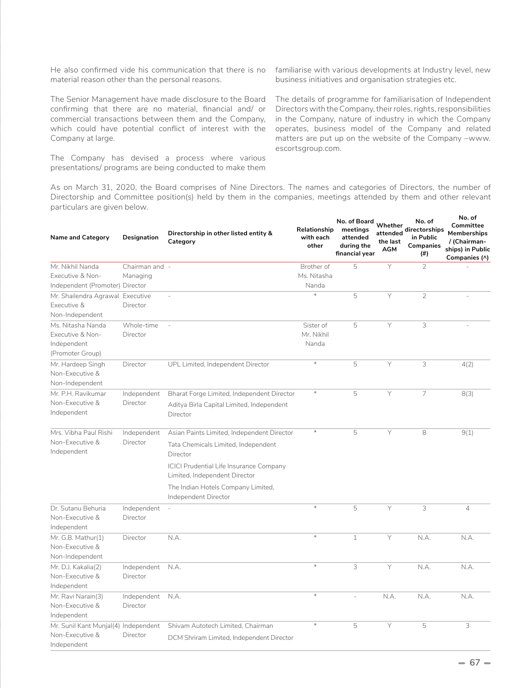He also confirmed vide his communication that there is no material reason other than the personal reasons.

The Senior Management have made disclosure to the Board confirming that there are no material, financial and/ or commercial transactions between them and the Company, which could have potential conflict of interest with the Company at large.

The Company has devised a process where various presentations/ programs are being conducted to make them

familiarise with various developments at Industry level, new business initiatives and organisation strategies etc.

The details of programme for familiarisation of Independent Directors with the Company, their roles, rights, responsibilities in the Company, nature of industry in which the Company operates, business model of the Company and related matters are put up on the website of the Company –www. escortsgroup.com.

As on March 31, 2020, the Board comprises of Nine Directors. The names and categories of Directors, the number of Directorship and Committee position(s) held by them in the companies, meetings attended by them and other relevant particulars are given below.

| <b>Name and Category</b>                                | Designation             | Directorship in other listed entity &<br>Category          | Relationship<br>with each<br>other | No. of Board Whether<br>meetings<br>attended<br>during the<br>financial year | the last<br><b>AGM</b> | No. of<br>attended<br>attended<br>in Public<br>Companies<br>(#) | IVO. OI<br>Committee<br><b>Memberships</b><br>/ (Chairman-<br>ships) in Public<br>Companies (^) |
|---------------------------------------------------------|-------------------------|------------------------------------------------------------|------------------------------------|------------------------------------------------------------------------------|------------------------|-----------------------------------------------------------------|-------------------------------------------------------------------------------------------------|
| Mr. Nikhil Nanda                                        | Chairman and -          |                                                            | Brother of                         | 5                                                                            | Y                      | $\overline{2}$                                                  |                                                                                                 |
| Executive & Non-                                        | Managing                |                                                            | Ms. Nitasha                        |                                                                              |                        |                                                                 |                                                                                                 |
| Independent (Promoter) Director                         |                         |                                                            | Nanda                              |                                                                              |                        |                                                                 |                                                                                                 |
| Mr. Shailendra Agrawal                                  | Executive               | J.                                                         | $\ast$                             | 5                                                                            | Y                      | $\overline{2}$                                                  |                                                                                                 |
| Executive &                                             | Director                |                                                            |                                    |                                                                              |                        |                                                                 |                                                                                                 |
| Non-Independent                                         |                         |                                                            |                                    |                                                                              |                        |                                                                 |                                                                                                 |
| Ms. Nitasha Nanda                                       | Whole-time              |                                                            | Sister of                          | 5                                                                            | Y                      | 3                                                               |                                                                                                 |
| Executive & Non-                                        | Director                |                                                            | Mr. Nikhil                         |                                                                              |                        |                                                                 |                                                                                                 |
| Independent                                             |                         |                                                            | Nanda                              |                                                                              |                        |                                                                 |                                                                                                 |
| (Promoter Group)                                        |                         |                                                            |                                    |                                                                              |                        |                                                                 |                                                                                                 |
| Mr. Hardeep Singh<br>Non-Executive &<br>Non-Independent | Director                | UPL Limited, Independent Director                          | $\ast$                             | 5                                                                            | Y                      | 3                                                               | 4(2)                                                                                            |
| Mr. P.H. Ravikumar                                      | Independent             | Bharat Forge Limited, Independent Director                 | $\ast$                             | 5                                                                            | Y                      | $\overline{7}$                                                  | 8(3)                                                                                            |
| Non-Executive &                                         | Director                | Aditya Birla Capital Limited, Independent                  |                                    |                                                                              |                        |                                                                 |                                                                                                 |
| Independent                                             |                         | Director                                                   |                                    |                                                                              |                        |                                                                 |                                                                                                 |
| Mrs. Vibha Paul Rishi                                   | Independent<br>Director | Asian Paints Limited, Independent Director                 | $\ast$                             | 5                                                                            | Y                      | 8                                                               | 9(1)                                                                                            |
| Non-Executive &                                         |                         | Tata Chemicals Limited, Independent                        |                                    |                                                                              |                        |                                                                 |                                                                                                 |
| Independent                                             |                         | Director                                                   |                                    |                                                                              |                        |                                                                 |                                                                                                 |
|                                                         |                         | <b>ICICI Prudential Life Insurance Company</b>             |                                    |                                                                              |                        |                                                                 |                                                                                                 |
|                                                         |                         | Limited, Independent Director                              |                                    |                                                                              |                        |                                                                 |                                                                                                 |
|                                                         |                         | The Indian Hotels Company Limited,<br>Independent Director |                                    |                                                                              |                        |                                                                 |                                                                                                 |
| Dr. Sutanu Behuria                                      | Independent             | $\overline{\phantom{a}}$                                   | $\divideontimes$                   | 5                                                                            | Y                      | 3                                                               | $\overline{4}$                                                                                  |
| Non-Executive &<br>Independent                          | Director                |                                                            |                                    |                                                                              |                        |                                                                 |                                                                                                 |
| Mr. G.B. Mathur(1)                                      | Director                | N.A.                                                       | $\ast$                             | $\mathbf{1}$                                                                 | Y                      | N.A.                                                            | N.A.                                                                                            |
| Non-Executive &                                         |                         |                                                            |                                    |                                                                              |                        |                                                                 |                                                                                                 |
| Non-Independent                                         |                         |                                                            |                                    |                                                                              |                        |                                                                 |                                                                                                 |
| Mr. D.J. Kakalia(2)                                     | Independent             | N.A.                                                       | $\ast$                             | 3                                                                            | Y                      | N.A.                                                            | N.A.                                                                                            |
| Non-Executive &                                         | Director                |                                                            |                                    |                                                                              |                        |                                                                 |                                                                                                 |
| Independent                                             |                         |                                                            |                                    |                                                                              |                        |                                                                 |                                                                                                 |
| Mr. Ravi Narain(3)                                      | Independent             | N.A.                                                       | $\ast$                             |                                                                              | N.A.                   | N.A.                                                            | N.A.                                                                                            |
| Non-Executive &                                         | Director                |                                                            |                                    |                                                                              |                        |                                                                 |                                                                                                 |
| Independent                                             |                         |                                                            |                                    |                                                                              |                        |                                                                 |                                                                                                 |
| Mr. Sunil Kant Munjal(4) Independent                    |                         | Shivam Autotech Limited, Chairman                          | $\ast$                             | 5                                                                            | Y                      | 5                                                               | 3                                                                                               |
| Non-Executive &                                         | Director                | DCM Shriram Limited, Independent Director                  |                                    |                                                                              |                        |                                                                 |                                                                                                 |
| Independent                                             |                         |                                                            |                                    |                                                                              |                        |                                                                 |                                                                                                 |

**No. of**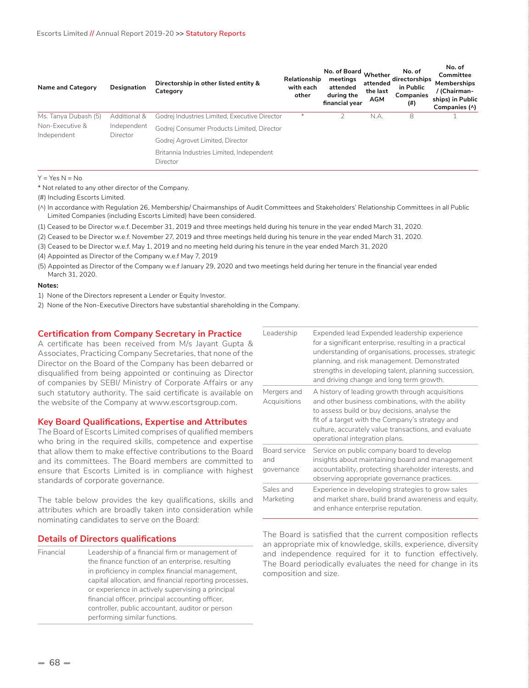| <b>Name and Category</b> | Designation             | Directorship in other listed entity &<br>Category     | Relationship<br>with each<br>other | No. of Board<br>meetings<br>attended<br>during the<br>financial year | Whether<br>attended<br>the last<br>AGM | No. of<br>directorships<br>in Public<br>Companies<br>(#) | No. of<br>Committee<br>Memberships<br>/ (Chairman-<br>ships) in Public<br>Companies (^) |
|--------------------------|-------------------------|-------------------------------------------------------|------------------------------------|----------------------------------------------------------------------|----------------------------------------|----------------------------------------------------------|-----------------------------------------------------------------------------------------|
| Ms. Tanya Dubash (5)     | Additional &            | Godrej Industries Limited, Executive Director         | ⋇                                  |                                                                      | N.A.                                   | 8                                                        |                                                                                         |
| Non-Executive &          | Independent<br>Director | Godrej Consumer Products Limited, Director            |                                    |                                                                      |                                        |                                                          |                                                                                         |
| Independent              |                         | Godrej Agrovet Limited, Director                      |                                    |                                                                      |                                        |                                                          |                                                                                         |
|                          |                         | Britannia Industries Limited, Independent<br>Director |                                    |                                                                      |                                        |                                                          |                                                                                         |

#### $Y = Yes \ N = No$

\* Not related to any other director of the Company.

(#) Including Escorts Limited.

- (^) In accordance with Regulation 26, Membership/ Chairmanships of Audit Committees and Stakeholders' Relationship Committees in all Public Limited Companies (including Escorts Limited) have been considered.
- (1) Ceased to be Director w.e.f. December 31, 2019 and three meetings held during his tenure in the year ended March 31, 2020.
- (2) Ceased to be Director w.e.f. November 27, 2019 and three meetings held during his tenure in the year ended March 31, 2020.
- (3) Ceased to be Director w.e.f. May 1, 2019 and no meeting held during his tenure in the year ended March 31, 2020
- (4) Appointed as Director of the Company w.e.f May 7, 2019
- (5) Appointed as Director of the Company w.e.f January 29, 2020 and two meetings held during her tenure in the financial year ended March 31, 2020.

#### **Notes:**

- 1) None of the Directors represent a Lender or Equity Investor.
- 2) None of the Non-Executive Directors have substantial shareholding in the Company.

#### **Certification from Company Secretary in Practice**

A certificate has been received from M/s Jayant Gupta & Associates, Practicing Company Secretaries, that none of the Director on the Board of the Company has been debarred or disqualified from being appointed or continuing as Director of companies by SEBI/ Ministry of Corporate Affairs or any such statutory authority. The said certificate is available on the website of the Company at www.escortsgroup.com.

#### **Key Board Qualifications, Expertise and Attributes**

The Board of Escorts Limited comprises of qualified members who bring in the required skills, competence and expertise that allow them to make effective contributions to the Board and its committees. The Board members are committed to ensure that Escorts Limited is in compliance with highest standards of corporate governance.

The table below provides the key qualifications, skills and attributes which are broadly taken into consideration while nominating candidates to serve on the Board:

#### **Details of Directors qualifications**

Financial Leadership of a financial firm or management of the finance function of an enterprise, resulting in proficiency in complex financial management, capital allocation, and financial reporting processes, or experience in actively supervising a principal financial officer, principal accounting officer, controller, public accountant, auditor or person performing similar functions.

| Leadership                         | Expended lead Expended leadership experience<br>for a significant enterprise, resulting in a practical<br>understanding of organisations, processes, strategic<br>planning, and risk management. Demonstrated<br>strengths in developing talent, planning succession,<br>and driving change and long term growth. |
|------------------------------------|-------------------------------------------------------------------------------------------------------------------------------------------------------------------------------------------------------------------------------------------------------------------------------------------------------------------|
| Mergers and<br>Acquisitions        | A history of leading growth through acquisitions<br>and other business combinations, with the ability<br>to assess build or buy decisions, analyse the<br>fit of a target with the Company's strategy and<br>culture, accurately value transactions, and evaluate<br>operational integration plans.               |
| Board service<br>and<br>governance | Service on public company board to develop<br>insights about maintaining board and management<br>accountability, protecting shareholder interests, and<br>observing appropriate governance practices.                                                                                                             |
| Sales and<br>Marketing             | Experience in developing strategies to grow sales<br>and market share, build brand awareness and equity,<br>and enhance enterprise reputation.                                                                                                                                                                    |

The Board is satisfied that the current composition reflects an appropriate mix of knowledge, skills, experience, diversity and independence required for it to function effectively. The Board periodically evaluates the need for change in its composition and size.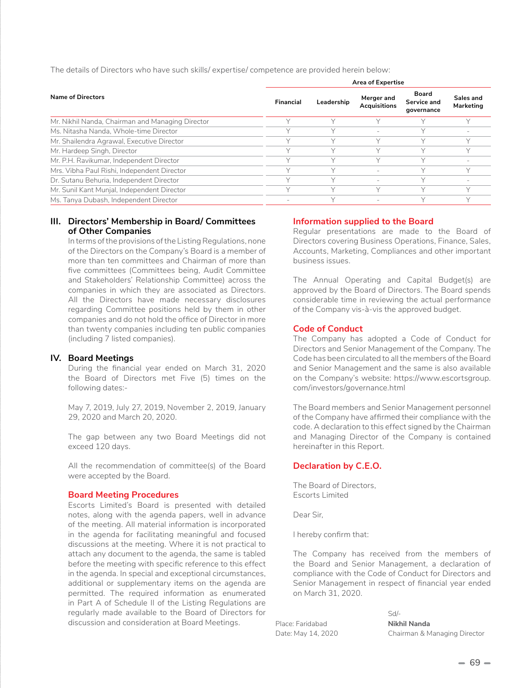**Name of Directors Area of Expertise Financial Leadership Merger and Acquisitions Board Service and governance Sales and Marketing** Mr. Nikhil Nanda, Chairman and Managing Director Theory Arr Managing Y Y Y Y Y Y Y Ms. Nitasha Nanda, Whole-time Director Y Y - Y - Mr. Shailendra Agrawal, Executive Director New York Water Street Agreement Agreement Agreement Agreement Agreement Agreement Agreement Agreement Agreement Agreement Agreement Agreement Agreement Agreement Agreement Agreeme Mr. Hardeep Singh, Director Y Y Y Y Y Mr. P.H. Ravikumar, Independent Director Y Y Y Y - Mrs. Vibha Paul Rishi, Independent Director Y Y - Y Y Dr. Sutanu Behuria, Independent Director The Manuscript Communication Communication Communication Communication V Mr. Sunil Kant Munjal, Independent Director The Music Communication Communication Communication Communication N Ms. Tanya Dubash, Independent Director National Communication of the Magnetic View Y Y Y Y Y Y Y Y Y Y Y Y Y Y

The details of Directors who have such skills/ expertise/ competence are provided herein below:

# **III. Directors' Membership in Board/ Committees of Other Companies**

In terms of the provisions of the Listing Regulations, none of the Directors on the Company's Board is a member of more than ten committees and Chairman of more than five committees (Committees being, Audit Committee and Stakeholders' Relationship Committee) across the companies in which they are associated as Directors. All the Directors have made necessary disclosures regarding Committee positions held by them in other companies and do not hold the office of Director in more than twenty companies including ten public companies (including 7 listed companies).

# **IV. Board Meetings**

During the financial year ended on March 31, 2020 the Board of Directors met Five (5) times on the following dates:-

May 7, 2019, July 27, 2019, November 2, 2019, January 29, 2020 and March 20, 2020.

The gap between any two Board Meetings did not exceed 120 days.

All the recommendation of committee(s) of the Board were accepted by the Board.

# **Board Meeting Procedures**

Escorts Limited's Board is presented with detailed notes, along with the agenda papers, well in advance of the meeting. All material information is incorporated in the agenda for facilitating meaningful and focused discussions at the meeting. Where it is not practical to attach any document to the agenda, the same is tabled before the meeting with specific reference to this effect in the agenda. In special and exceptional circumstances, additional or supplementary items on the agenda are permitted. The required information as enumerated in Part A of Schedule II of the Listing Regulations are regularly made available to the Board of Directors for discussion and consideration at Board Meetings.

# **Information supplied to the Board**

Regular presentations are made to the Board of Directors covering Business Operations, Finance, Sales, Accounts, Marketing, Compliances and other important business issues.

The Annual Operating and Capital Budget(s) are approved by the Board of Directors. The Board spends considerable time in reviewing the actual performance of the Company vis-à-vis the approved budget.

# **Code of Conduct**

The Company has adopted a Code of Conduct for Directors and Senior Management of the Company. The Code has been circulated to all the members of the Board and Senior Management and the same is also available on the Company's website: https://www.escortsgroup. com/investors/governance.html

The Board members and Senior Management personnel of the Company have affirmed their compliance with the code. A declaration to this effect signed by the Chairman and Managing Director of the Company is contained hereinafter in this Report.

# **Declaration by C.E.O.**

The Board of Directors, Escorts Limited

Dear Sir,

I hereby confirm that:

The Company has received from the members of the Board and Senior Management, a declaration of compliance with the Code of Conduct for Directors and Senior Management in respect of financial year ended on March 31, 2020.

Place: Faridabad **Nikhil Nanda**

 $Sd/L$ Date: May 14, 2020 Chairman & Managing Director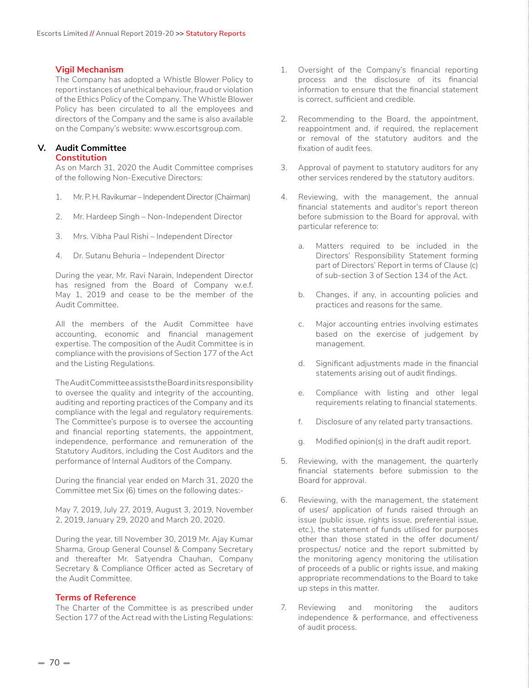# **Vigil Mechanism**

The Company has adopted a Whistle Blower Policy to report instances of unethical behaviour, fraud or violation of the Ethics Policy of the Company. The Whistle Blower Policy has been circulated to all the employees and directors of the Company and the same is also available on the Company's website: www.escortsgroup.com.

# **V. Audit Committee**

# **Constitution**

As on March 31, 2020 the Audit Committee comprises of the following Non-Executive Directors:

- 1. Mr. P. H. Ravikumar Independent Director (Chairman)
- 2. Mr. Hardeep Singh Non-Independent Director
- 3. Mrs. Vibha Paul Rishi Independent Director
- 4. Dr. Sutanu Behuria Independent Director

During the year, Mr. Ravi Narain, Independent Director has resigned from the Board of Company w.e.f. May 1, 2019 and cease to be the member of the Audit Committee.

All the members of the Audit Committee have accounting, economic and financial management expertise. The composition of the Audit Committee is in compliance with the provisions of Section 177 of the Act and the Listing Regulations.

The Audit Committee assists the Board in its responsibility to oversee the quality and integrity of the accounting, auditing and reporting practices of the Company and its compliance with the legal and regulatory requirements. The Committee's purpose is to oversee the accounting and financial reporting statements, the appointment, independence, performance and remuneration of the Statutory Auditors, including the Cost Auditors and the performance of Internal Auditors of the Company.

During the financial year ended on March 31, 2020 the Committee met Six (6) times on the following dates:-

May 7, 2019, July 27, 2019, August 3, 2019, November 2, 2019, January 29, 2020 and March 20, 2020.

During the year, till November 30, 2019 Mr. Ajay Kumar Sharma, Group General Counsel & Company Secretary and thereafter Mr. Satyendra Chauhan, Company Secretary & Compliance Officer acted as Secretary of the Audit Committee.

# **Terms of Reference**

The Charter of the Committee is as prescribed under Section 177 of the Act read with the Listing Regulations:

- 1. Oversight of the Company's financial reporting process and the disclosure of its financial information to ensure that the financial statement is correct, sufficient and credible.
- 2. Recommending to the Board, the appointment, reappointment and, if required, the replacement or removal of the statutory auditors and the fixation of audit fees.
- 3. Approval of payment to statutory auditors for any other services rendered by the statutory auditors.
- 4. Reviewing, with the management, the annual financial statements and auditor's report thereon before submission to the Board for approval, with particular reference to:
	- a. Matters required to be included in the Directors' Responsibility Statement forming part of Directors' Report in terms of Clause (c) of sub-section 3 of Section 134 of the Act.
	- b. Changes, if any, in accounting policies and practices and reasons for the same.
	- c. Major accounting entries involving estimates based on the exercise of judgement by management.
	- d. Significant adjustments made in the financial statements arising out of audit findings.
	- e. Compliance with listing and other legal requirements relating to financial statements.
	- f. Disclosure of any related party transactions.
	- g. Modified opinion(s) in the draft audit report.
- 5. Reviewing, with the management, the quarterly financial statements before submission to the Board for approval.
- 6. Reviewing, with the management, the statement of uses/ application of funds raised through an issue (public issue, rights issue, preferential issue, etc.), the statement of funds utilised for purposes other than those stated in the offer document/ prospectus/ notice and the report submitted by the monitoring agency monitoring the utilisation of proceeds of a public or rights issue, and making appropriate recommendations to the Board to take up steps in this matter.
- 7. Reviewing and monitoring the auditors independence & performance, and effectiveness of audit process.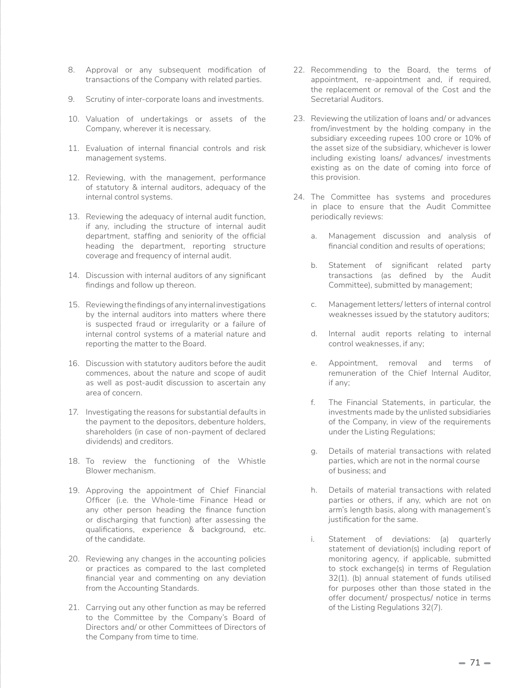- 8. Approval or any subsequent modification of transactions of the Company with related parties.
- 9. Scrutiny of inter-corporate loans and investments.
- 10. Valuation of undertakings or assets of the Company, wherever it is necessary.
- 11. Evaluation of internal financial controls and risk management systems.
- 12. Reviewing, with the management, performance of statutory & internal auditors, adequacy of the internal control systems.
- 13. Reviewing the adequacy of internal audit function, if any, including the structure of internal audit department, staffing and seniority of the official heading the department, reporting structure coverage and frequency of internal audit.
- 14. Discussion with internal auditors of any significant findings and follow up thereon.
- 15. Reviewing the findings of any internal investigations by the internal auditors into matters where there is suspected fraud or irregularity or a failure of internal control systems of a material nature and reporting the matter to the Board.
- 16. Discussion with statutory auditors before the audit commences, about the nature and scope of audit as well as post-audit discussion to ascertain any area of concern.
- 17. Investigating the reasons for substantial defaults in the payment to the depositors, debenture holders, shareholders (in case of non-payment of declared dividends) and creditors.
- 18. To review the functioning of the Whistle Blower mechanism.
- 19. Approving the appointment of Chief Financial Officer (i.e. the Whole-time Finance Head or any other person heading the finance function or discharging that function) after assessing the qualifications, experience & background, etc. of the candidate.
- 20. Reviewing any changes in the accounting policies or practices as compared to the last completed financial year and commenting on any deviation from the Accounting Standards.
- 21. Carrying out any other function as may be referred to the Committee by the Company's Board of Directors and/ or other Committees of Directors of the Company from time to time.
- 22. Recommending to the Board, the terms of appointment, re-appointment and, if required, the replacement or removal of the Cost and the Secretarial Auditors.
- 23. Reviewing the utilization of loans and/ or advances from/investment by the holding company in the subsidiary exceeding rupees 100 crore or 10% of the asset size of the subsidiary, whichever is lower including existing loans/ advances/ investments existing as on the date of coming into force of this provision.
- 24. The Committee has systems and procedures in place to ensure that the Audit Committee periodically reviews:
	- a. Management discussion and analysis of financial condition and results of operations;
	- b. Statement of significant related party transactions (as defined by the Audit Committee), submitted by management;
	- c. Management letters/ letters of internal control weaknesses issued by the statutory auditors;
	- d. Internal audit reports relating to internal control weaknesses, if any;
	- e. Appointment, removal and terms of remuneration of the Chief Internal Auditor, if any;
	- f. The Financial Statements, in particular, the investments made by the unlisted subsidiaries of the Company, in view of the requirements under the Listing Regulations;
	- g. Details of material transactions with related parties, which are not in the normal course of business; and
	- h. Details of material transactions with related parties or others, if any, which are not on arm's length basis, along with management's justification for the same.
	- i. Statement of deviations: (a) quarterly statement of deviation(s) including report of monitoring agency, if applicable, submitted to stock exchange(s) in terms of Regulation 32(1). (b) annual statement of funds utilised for purposes other than those stated in the offer document/ prospectus/ notice in terms of the Listing Regulations 32(7).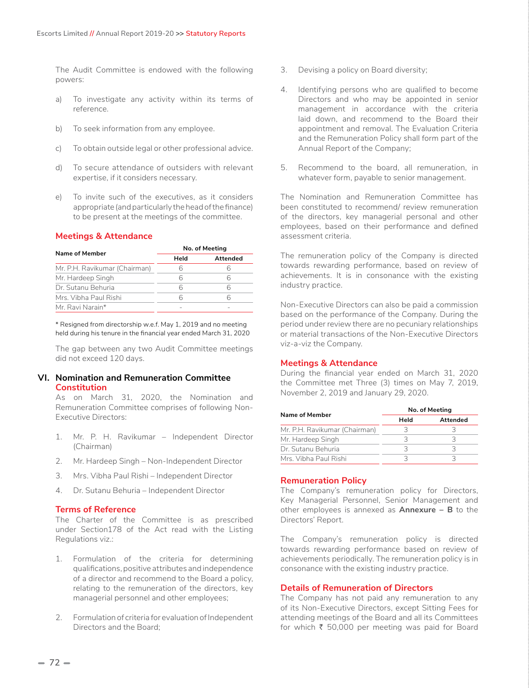The Audit Committee is endowed with the following powers:

- a) To investigate any activity within its terms of reference.
- b) To seek information from any employee.
- c) To obtain outside legal or other professional advice.
- d) To secure attendance of outsiders with relevant expertise, if it considers necessary.
- e) To invite such of the executives, as it considers appropriate (and particularly the head of the finance) to be present at the meetings of the committee.

# **Meetings & Attendance**

| Name of Member                | No. of Meeting |          |  |  |
|-------------------------------|----------------|----------|--|--|
|                               | Held           | Attended |  |  |
| Mr. P.H. Ravikumar (Chairman) |                |          |  |  |
| Mr. Hardeep Singh             |                |          |  |  |
| Dr. Sutanu Behuria            | 6              |          |  |  |
| Mrs. Vibha Paul Rishi         |                |          |  |  |
| Mr Ravi Narain*               |                |          |  |  |

\* Resigned from directorship w.e.f. May 1, 2019 and no meeting held during his tenure in the financial year ended March 31, 2020

The gap between any two Audit Committee meetings did not exceed 120 days.

# **VI. Nomination and Remuneration Committee Constitution**

As on March 31, 2020, the Nomination and Remuneration Committee comprises of following Non-Executive Directors:

- 1. Mr. P. H. Ravikumar Independent Director (Chairman)
- 2. Mr. Hardeep Singh Non-Independent Director
- 3. Mrs. Vibha Paul Rishi Independent Director
- 4. Dr. Sutanu Behuria Independent Director

# **Terms of Reference**

The Charter of the Committee is as prescribed under Section178 of the Act read with the Listing Regulations viz.:

- 1. Formulation of the criteria for determining qualifications, positive attributes and independence of a director and recommend to the Board a policy, relating to the remuneration of the directors, key managerial personnel and other employees;
- 2. Formulation of criteria for evaluation of Independent Directors and the Board;
- 3. Devising a policy on Board diversity;
- 4. Identifying persons who are qualified to become Directors and who may be appointed in senior management in accordance with the criteria laid down, and recommend to the Board their appointment and removal. The Evaluation Criteria and the Remuneration Policy shall form part of the Annual Report of the Company;
- 5. Recommend to the board, all remuneration, in whatever form, payable to senior management.

The Nomination and Remuneration Committee has been constituted to recommend/ review remuneration of the directors, key managerial personal and other employees, based on their performance and defined assessment criteria.

The remuneration policy of the Company is directed towards rewarding performance, based on review of achievements. It is in consonance with the existing industry practice.

Non-Executive Directors can also be paid a commission based on the performance of the Company. During the period under review there are no pecuniary relationships or material transactions of the Non-Executive Directors viz-a-viz the Company.

# **Meetings & Attendance**

During the financial year ended on March 31, 2020 the Committee met Three (3) times on May 7, 2019, November 2, 2019 and January 29, 2020.

| No. of Meeting   |  |  |  |
|------------------|--|--|--|
| Attended<br>Held |  |  |  |
|                  |  |  |  |
| 2                |  |  |  |
|                  |  |  |  |
|                  |  |  |  |
|                  |  |  |  |

# **Remuneration Policy**

The Company's remuneration policy for Directors, Key Managerial Personnel, Senior Management and other employees is annexed as **Annexure – B** to the Directors' Report.

The Company's remuneration policy is directed towards rewarding performance based on review of achievements periodically. The remuneration policy is in consonance with the existing industry practice.

# **Details of Remuneration of Directors**

The Company has not paid any remuneration to any of its Non-Executive Directors, except Sitting Fees for attending meetings of the Board and all its Committees for which  $\bar{\tau}$  50,000 per meeting was paid for Board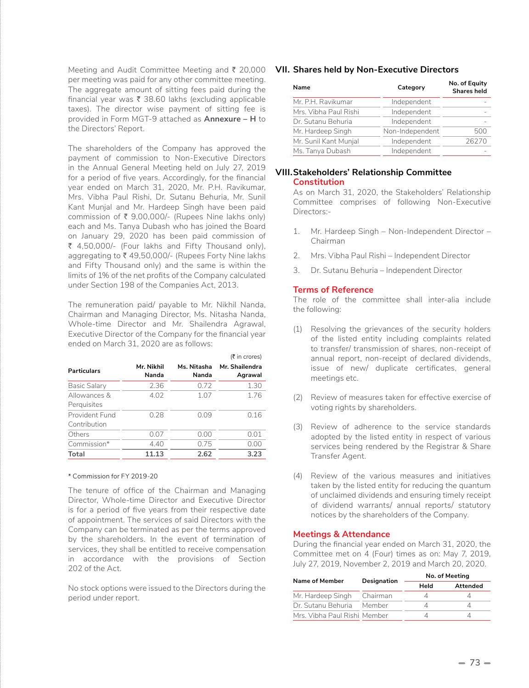Meeting and Audit Committee Meeting and ₹ 20,000 **VII. Shares held by Non-Executive Directors** per meeting was paid for any other committee meeting. The aggregate amount of sitting fees paid during the financial year was  $\bar{\tau}$  38.60 lakhs (excluding applicable taxes). The director wise payment of sitting fee is provided in Form MGT-9 attached as **Annexure – H** to the Directors' Report.

The shareholders of the Company has approved the payment of commission to Non-Executive Directors in the Annual General Meeting held on July 27, 2019 for a period of five years. Accordingly, for the financial year ended on March 31, 2020, Mr. P.H. Ravikumar, Mrs. Vibha Paul Rishi, Dr. Sutanu Behuria, Mr. Sunil Kant Munjal and Mr. Hardeep Singh have been paid commission of  $\bar{\tau}$  9,00,000/- (Rupees Nine lakhs only) each and Ms. Tanya Dubash who has joined the Board on January 29, 2020 has been paid commission of  $\bar{\xi}$  4,50,000/- (Four lakhs and Fifty Thousand only), aggregating to ₹49,50,000/- (Rupees Forty Nine lakhs and Fifty Thousand only) and the same is within the limits of 1% of the net profits of the Company calculated under Section 198 of the Companies Act, 2013.

The remuneration paid/ payable to Mr. Nikhil Nanda, Chairman and Managing Director, Ms. Nitasha Nanda, Whole-time Director and Mr. Shailendra Agrawal, Executive Director of the Company for the financial year ended on March 31, 2020 are as follows:

|                                |                     |                      | (₹ in crores)             |
|--------------------------------|---------------------|----------------------|---------------------------|
| <b>Particulars</b>             | Mr. Nikhil<br>Nanda | Ms. Nitasha<br>Nanda | Mr. Shailendra<br>Agrawal |
| Basic Salary                   | 2.36                | 0.72                 | 1.30                      |
| Allowances &<br>Perquisites    | 4.02                | 1.07                 | 1.76                      |
| Provident Fund<br>Contribution | 0.28                | 0.09                 | 0.16                      |
| Others                         | 0.07                | 0.00                 | 0.01                      |
| Commission*                    | 4.40                | 0.75                 | 0.00                      |
| Total                          | 11.13               | 2.62                 | 3.23                      |
|                                |                     |                      |                           |

#### \* Commission for FY 2019-20

The tenure of office of the Chairman and Managing Director, Whole-time Director and Executive Director is for a period of five years from their respective date of appointment. The services of said Directors with the Company can be terminated as per the terms approved by the shareholders. In the event of termination of services, they shall be entitled to receive compensation in accordance with the provisions of Section 202 of the Act.

No stock options were issued to the Directors during the period under report.

| Name                  | Category        | No. of Equity<br><b>Shares held</b> |
|-----------------------|-----------------|-------------------------------------|
| Mr. P.H. Ravikumar    | Independent     |                                     |
| Mrs. Vibha Paul Rishi | Independent     |                                     |
| Dr. Sutanu Behuria    | Independent     |                                     |
| Mr. Hardeep Singh     | Non-Independent | 500                                 |
| Mr. Sunil Kant Munjal | Independent     | 26270                               |
| Ms. Tanya Dubash      | Independent     |                                     |

#### **VIII.Stakeholders' Relationship Committee Constitution**

As on March 31, 2020, the Stakeholders' Relationship Committee comprises of following Non-Executive Directors:-

- 1. Mr. Hardeep Singh Non-Independent Director Chairman
- 2. Mrs. Vibha Paul Rishi Independent Director
- 3. Dr. Sutanu Behuria Independent Director

#### **Terms of Reference**

The role of the committee shall inter-alia include the following:

- (1) Resolving the grievances of the security holders of the listed entity including complaints related to transfer/ transmission of shares, non-receipt of annual report, non-receipt of declared dividends, issue of new/ duplicate certificates, general meetings etc.
- (2) Review of measures taken for effective exercise of voting rights by shareholders.
- (3) Review of adherence to the service standards adopted by the listed entity in respect of various services being rendered by the Registrar & Share Transfer Agent.
- (4) Review of the various measures and initiatives taken by the listed entity for reducing the quantum of unclaimed dividends and ensuring timely receipt of dividend warrants/ annual reports/ statutory notices by the shareholders of the Company.

#### **Meetings & Attendance**

During the financial year ended on March 31, 2020, the Committee met on 4 (Four) times as on: May 7, 2019, July 27, 2019, November 2, 2019 and March 20, 2020.

| Name of Member              | Designation | No. of Meeting |          |  |  |
|-----------------------------|-------------|----------------|----------|--|--|
|                             |             | Held           | Attended |  |  |
| Mr. Hardeep Singh           | Chairman    |                |          |  |  |
| Dr. Sutanu Behuria          | Member      |                |          |  |  |
| Mrs Vibha Paul Rishi Member |             |                |          |  |  |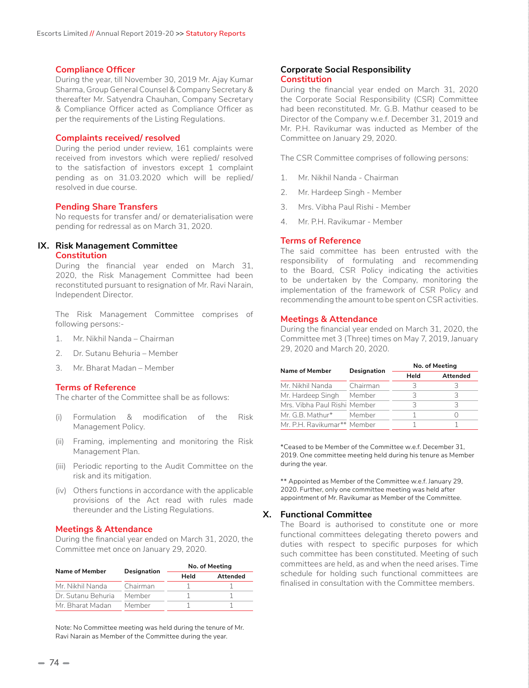#### **Compliance Officer**

During the year, till November 30, 2019 Mr. Ajay Kumar Sharma, Group General Counsel & Company Secretary & thereafter Mr. Satyendra Chauhan, Company Secretary & Compliance Officer acted as Compliance Officer as per the requirements of the Listing Regulations.

#### **Complaints received/ resolved**

During the period under review, 161 complaints were received from investors which were replied/ resolved to the satisfaction of investors except 1 complaint pending as on 31.03.2020 which will be replied/ resolved in due course.

#### **Pending Share Transfers**

No requests for transfer and/ or dematerialisation were pending for redressal as on March 31, 2020.

# **IX. Risk Management Committee**

**Constitution**

During the financial year ended on March 31, 2020, the Risk Management Committee had been reconstituted pursuant to resignation of Mr. Ravi Narain, Independent Director.

The Risk Management Committee comprises of following persons:-

- 1. Mr. Nikhil Nanda Chairman
- 2. Dr. Sutanu Behuria Member
- 3. Mr. Bharat Madan Member

#### **Terms of Reference**

The charter of the Committee shall be as follows:

- (i) Formulation & modification of the Risk Management Policy.
- (ii) Framing, implementing and monitoring the Risk Management Plan.
- (iii) Periodic reporting to the Audit Committee on the risk and its mitigation.
- (iv) Others functions in accordance with the applicable provisions of the Act read with rules made thereunder and the Listing Regulations.

#### **Meetings & Attendance**

During the financial year ended on March 31, 2020, the Committee met once on January 29, 2020.

| Name of Member               | Designation | No. of Meeting |          |  |
|------------------------------|-------------|----------------|----------|--|
|                              |             | Held           | Attended |  |
| Mr. Nikhil Nanda             | Chairman    |                |          |  |
| Dr. Sutanu Behuria<br>Member |             |                |          |  |
| Mr Bharat Madan              | Member      |                |          |  |

Note: No Committee meeting was held during the tenure of Mr. Ravi Narain as Member of the Committee during the year.

#### **Corporate Social Responsibility Constitution**

During the financial year ended on March 31, 2020 the Corporate Social Responsibility (CSR) Committee had been reconstituted. Mr. G.B. Mathur ceased to be Director of the Company w.e.f. December 31, 2019 and Mr. P.H. Ravikumar was inducted as Member of the Committee on January 29, 2020.

The CSR Committee comprises of following persons:

- 1. Mr. Nikhil Nanda Chairman
- 2. Mr. Hardeep Singh Member
- 3. Mrs. Vibha Paul Rishi Member
- 4. Mr. P.H. Ravikumar Member

#### **Terms of Reference**

The said committee has been entrusted with the responsibility of formulating and recommending to the Board, CSR Policy indicating the activities to be undertaken by the Company, monitoring the implementation of the framework of CSR Policy and recommending the amount to be spent on CSR activities.

#### **Meetings & Attendance**

During the financial year ended on March 31, 2020, the Committee met 3 (Three) times on May 7, 2019, January 29, 2020 and March 20, 2020.

| Name of Member               | Designation | No. of Meeting |          |  |  |
|------------------------------|-------------|----------------|----------|--|--|
|                              |             | Held           | Attended |  |  |
| Mr. Nikhil Nanda             | Chairman    | 3              | 2        |  |  |
| Mr. Hardeep Singh            | Member      | З              | 3        |  |  |
| Mrs. Vibha Paul Rishi Member |             | 3              | 3        |  |  |
| Mr. G.B. Mathur*             | Member      |                |          |  |  |
| Mr. P.H. Ravikumar** Member  |             |                |          |  |  |

\*Ceased to be Member of the Committee w.e.f. December 31, 2019. One committee meeting held during his tenure as Member during the year.

\*\* Appointed as Member of the Committee w.e.f. January 29, 2020. Further, only one committee meeting was held after appointment of Mr. Ravikumar as Member of the Committee.

#### **X. Functional Committee**

The Board is authorised to constitute one or more functional committees delegating thereto powers and duties with respect to specific purposes for which such committee has been constituted. Meeting of such committees are held, as and when the need arises. Time schedule for holding such functional committees are finalised in consultation with the Committee members.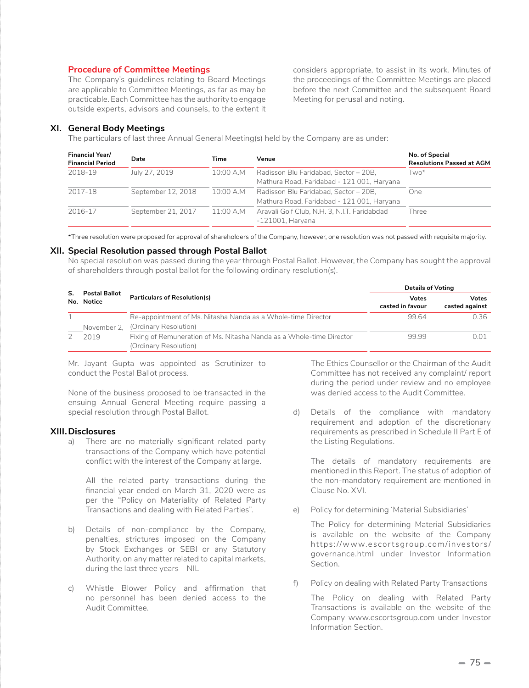# **Procedure of Committee Meetings**

The Company's guidelines relating to Board Meetings are applicable to Committee Meetings, as far as may be practicable. Each Committee has the authority to engage outside experts, advisors and counsels, to the extent it considers appropriate, to assist in its work. Minutes of the proceedings of the Committee Meetings are placed before the next Committee and the subsequent Board Meeting for perusal and noting.

#### **XI. General Body Meetings**

The particulars of last three Annual General Meeting(s) held by the Company are as under:

| <b>Financial Year/</b><br><b>Financial Period</b> | Date               | Time      | Venue                                                                               | No. of Special<br><b>Resolutions Passed at AGM</b> |
|---------------------------------------------------|--------------------|-----------|-------------------------------------------------------------------------------------|----------------------------------------------------|
| 2018-19                                           | July 27, 2019      | 10:00 A.M | Radisson Blu Faridabad, Sector - 20B,<br>Mathura Road, Faridabad - 121 001, Haryana | Two*                                               |
| 2017-18                                           | September 12, 2018 | 10:00 A.M | Radisson Blu Faridabad, Sector - 20B.<br>Mathura Road, Faridabad - 121 001, Haryana | One.                                               |
| 2016-17                                           | September 21, 2017 | 11:00 A.M | Aravali Golf Club, N.H. 3, N.J.T. Faridabdad<br>$-121001$ , Haryana                 | Three                                              |

\*Three resolution were proposed for approval of shareholders of the Company, however, one resolution was not passed with requisite majority.

### **XII. Special Resolution passed through Postal Ballot**

No special resolution was passed during the year through Postal Ballot. However, the Company has sought the approval of shareholders through postal ballot for the following ordinary resolution(s).

| <b>Postal Ballot</b> |                                                                                               | <b>Details of Voting</b>         |                                |  |
|----------------------|-----------------------------------------------------------------------------------------------|----------------------------------|--------------------------------|--|
| No. Notice           | <b>Particulars of Resolution(s)</b>                                                           | <b>Votes</b><br>casted in favour | <b>Votes</b><br>casted against |  |
| November 2.          | Re-appointment of Ms. Nitasha Nanda as a Whole-time Director<br>(Ordinary Resolution)         | 9964                             | 0.36                           |  |
| 2019                 | Fixing of Remuneration of Ms. Nitasha Nanda as a Whole-time Director<br>(Ordinary Resolution) | 9999                             | N N 1                          |  |

Mr. Jayant Gupta was appointed as Scrutinizer to conduct the Postal Ballot process.

None of the business proposed to be transacted in the ensuing Annual General Meeting require passing a special resolution through Postal Ballot.

#### **XIII.Disclosures**

a) There are no materially significant related party transactions of the Company which have potential conflict with the interest of the Company at large.

 All the related party transactions during the financial year ended on March 31, 2020 were as per the "Policy on Materiality of Related Party Transactions and dealing with Related Parties".

- b) Details of non-compliance by the Company, penalties, strictures imposed on the Company by Stock Exchanges or SEBI or any Statutory Authority, on any matter related to capital markets, during the last three years – NIL
- c) Whistle Blower Policy and affirmation that no personnel has been denied access to the Audit Committee.

The Ethics Counsellor or the Chairman of the Audit Committee has not received any complaint/ report during the period under review and no employee was denied access to the Audit Committee.

d) Details of the compliance with mandatory requirement and adoption of the discretionary requirements as prescribed in Schedule II Part E of the Listing Regulations.

The details of mandatory requirements are mentioned in this Report. The status of adoption of the non-mandatory requirement are mentioned in Clause No. XVI.

e) Policy for determining 'Material Subsidiaries'

The Policy for determining Material Subsidiaries is available on the website of the Company https://www.escortsgroup.com/investors/ governance.html under Investor Information Section.

f) Policy on dealing with Related Party Transactions

The Policy on dealing with Related Party Transactions is available on the website of the Company www.escortsgroup.com under Investor Information Section.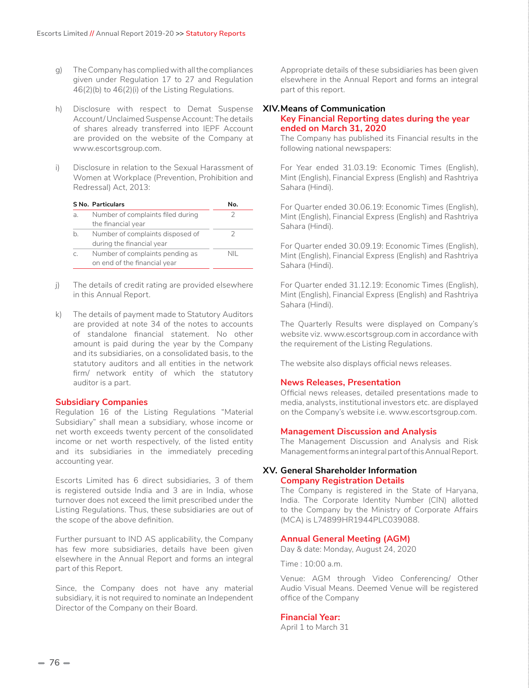- g) The Company has complied with all the compliances given under Regulation 17 to 27 and Regulation 46(2)(b) to 46(2)(i) of the Listing Regulations.
- h) Disclosure with respect to Demat Suspense Account/ Unclaimed Suspense Account: The details of shares already transferred into IEPF Account are provided on the website of the Company at www.escortsgroup.com.
- i) Disclosure in relation to the Sexual Harassment of Women at Workplace (Prevention, Prohibition and Redressal) Act, 2013:

|    | S No. Particulars                                               | N٥. |
|----|-----------------------------------------------------------------|-----|
| a. | Number of complaints filed during<br>the financial year         |     |
| h. | Number of complaints disposed of<br>during the financial year   |     |
| C. | Number of complaints pending as<br>on end of the financial year | NII |

- j) The details of credit rating are provided elsewhere in this Annual Report.
- k) The details of payment made to Statutory Auditors are provided at note 34 of the notes to accounts of standalone financial statement. No other amount is paid during the year by the Company and its subsidiaries, on a consolidated basis, to the statutory auditors and all entities in the network firm/ network entity of which the statutory auditor is a part.

#### **Subsidiary Companies**

Regulation 16 of the Listing Regulations "Material Subsidiary" shall mean a subsidiary, whose income or net worth exceeds twenty percent of the consolidated income or net worth respectively, of the listed entity and its subsidiaries in the immediately preceding accounting year.

Escorts Limited has 6 direct subsidiaries, 3 of them is registered outside India and 3 are in India, whose turnover does not exceed the limit prescribed under the Listing Regulations. Thus, these subsidiaries are out of the scope of the above definition.

Further pursuant to IND AS applicability, the Company has few more subsidiaries, details have been given elsewhere in the Annual Report and forms an integral part of this Report.

Since, the Company does not have any material subsidiary, it is not required to nominate an Independent Director of the Company on their Board.

Appropriate details of these subsidiaries has been given elsewhere in the Annual Report and forms an integral part of this report.

#### **XIV.Means of Communication Key Financial Reporting dates during the year ended on March 31, 2020**

The Company has published its Financial results in the following national newspapers:

For Year ended 31.03.19: Economic Times (English), Mint (English), Financial Express (English) and Rashtriya Sahara (Hindi).

For Quarter ended 30.06.19: Economic Times (English), Mint (English), Financial Express (English) and Rashtriya Sahara (Hindi).

For Quarter ended 30.09.19: Economic Times (English), Mint (English), Financial Express (English) and Rashtriya Sahara (Hindi).

For Quarter ended 31.12.19: Economic Times (English), Mint (English), Financial Express (English) and Rashtriya Sahara (Hindi).

The Quarterly Results were displayed on Company's website viz. www.escortsgroup.com in accordance with the requirement of the Listing Regulations.

The website also displays official news releases.

# **News Releases, Presentation**

Official news releases, detailed presentations made to media, analysts, institutional investors etc. are displayed on the Company's website i.e. www.escortsgroup.com.

#### **Management Discussion and Analysis**

The Management Discussion and Analysis and Risk Management forms an integral part of this Annual Report.

### **XV. General Shareholder Information Company Registration Details**

The Company is registered in the State of Haryana, India. The Corporate Identity Number (CIN) allotted to the Company by the Ministry of Corporate Affairs (MCA) is L74899HR1944PLC039088.

#### **Annual General Meeting (AGM)**

Day & date: Monday, August 24, 2020

Time : 10:00 a.m.

Venue: AGM through Video Conferencing/ Other Audio Visual Means. Deemed Venue will be registered office of the Company

#### **Financial Year:**

April 1 to March 31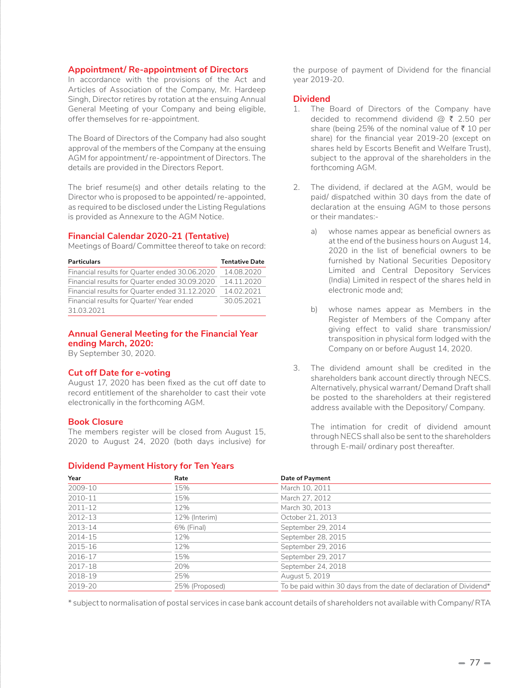# **Appointment/ Re-appointment of Directors**

In accordance with the provisions of the Act and Articles of Association of the Company, Mr. Hardeep Singh, Director retires by rotation at the ensuing Annual General Meeting of your Company and being eligible, offer themselves for re-appointment.

The Board of Directors of the Company had also sought approval of the members of the Company at the ensuing AGM for appointment/ re-appointment of Directors. The details are provided in the Directors Report.

The brief resume(s) and other details relating to the Director who is proposed to be appointed/ re-appointed, as required to be disclosed under the Listing Regulations is provided as Annexure to the AGM Notice.

# **Financial Calendar 2020-21 (Tentative)**

Meetings of Board/ Committee thereof to take on record:

| <b>Particulars</b>                             | <b>Tentative Date</b> |
|------------------------------------------------|-----------------------|
| Financial results for Quarter ended 30.06.2020 | 14.08.2020            |
| Financial results for Quarter ended 30.09.2020 | 14.11.2020            |
| Financial results for Quarter ended 31.12.2020 | 14.02.2021            |
| Financial results for Quarter/Year ended       | 30.05.2021            |
| 31.03.2021                                     |                       |

# **Annual General Meeting for the Financial Year ending March, 2020:**

By September 30, 2020.

#### **Cut off Date for e-voting**

August 17, 2020 has been fixed as the cut off date to record entitlement of the shareholder to cast their vote electronically in the forthcoming AGM.

# **Book Closure**

The members register will be closed from August 15, 2020 to August 24, 2020 (both days inclusive) for

#### **Dividend Payment History for Ten Years**

the purpose of payment of Dividend for the financial year 2019-20.

# **Dividend**

- 1. The Board of Directors of the Company have decided to recommend dividend  $\omega \bar{\tau}$  2.50 per share (being 25% of the nominal value of  $\bar{\tau}$  10 per share) for the financial year 2019-20 (except on shares held by Escorts Benefit and Welfare Trust), subject to the approval of the shareholders in the forthcoming AGM.
- 2. The dividend, if declared at the AGM, would be paid/ dispatched within 30 days from the date of declaration at the ensuing AGM to those persons or their mandates:
	- a) whose names appear as beneficial owners as at the end of the business hours on August 14, 2020 in the list of beneficial owners to be furnished by National Securities Depository Limited and Central Depository Services (India) Limited in respect of the shares held in electronic mode and;
	- b) whose names appear as Members in the Register of Members of the Company after giving effect to valid share transmission/ transposition in physical form lodged with the Company on or before August 14, 2020.
- 3. The dividend amount shall be credited in the shareholders bank account directly through NECS. Alternatively, physical warrant/ Demand Draft shall be posted to the shareholders at their registered address available with the Depository/ Company.

The intimation for credit of dividend amount through NECS shall also be sent to the shareholders through E-mail/ ordinary post thereafter.

| Year        | Rate           | Date of Payment                                                     |
|-------------|----------------|---------------------------------------------------------------------|
| 2009-10     | 15%            | March 10, 2011                                                      |
| 2010-11     | 15%            | March 27, 2012                                                      |
| $2011 - 12$ | 12%            | March 30, 2013                                                      |
| 2012-13     | 12% (Interim)  | October 21, 2013                                                    |
| $2013 - 14$ | 6% (Final)     | September 29, 2014                                                  |
| 2014-15     | 12%            | September 28, 2015                                                  |
| 2015-16     | 12%            | September 29, 2016                                                  |
| 2016-17     | 15%            | September 29, 2017                                                  |
| 2017-18     | 20%            | September 24, 2018                                                  |
| 2018-19     | 25%            | August 5, 2019                                                      |
| 2019-20     | 25% (Proposed) | To be paid within 30 days from the date of declaration of Dividend* |

\* subject to normalisation of postal services in case bank account details of shareholders not available with Company/ RTA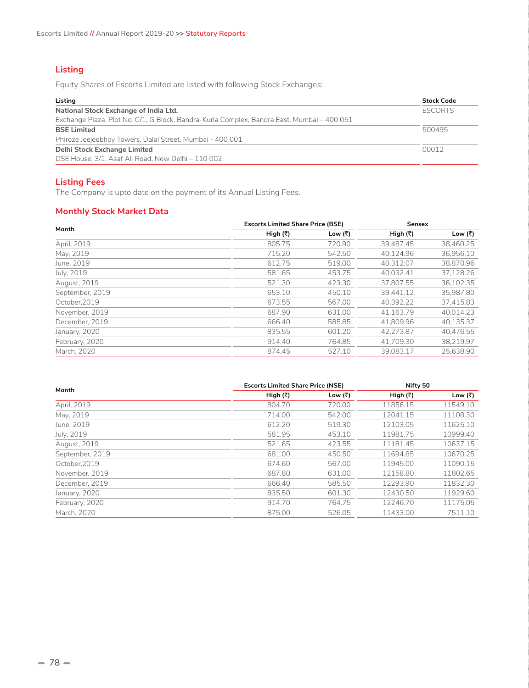# **Listing**

Equity Shares of Escorts Limited are listed with following Stock Exchanges:

| Listing                                                                                    | <b>Stock Code</b> |
|--------------------------------------------------------------------------------------------|-------------------|
| National Stock Exchange of India Ltd.                                                      | <b>ESCORTS</b>    |
| Exchange Plaza, Plot No. C/1, G Block, Bandra-Kurla Complex, Bandra East, Mumbai - 400 051 |                   |
| <b>BSE Limited</b>                                                                         | 500495            |
| Phiroze Jeejeebhoy Towers, Dalal Street, Mumbai - 400 001                                  |                   |
| Delhi Stock Exchange Limited                                                               | 00012             |
| DSE House, 3/1, Asaf Ali Road, New Delhi - 110 002                                         |                   |

# **Listing Fees**

The Company is upto date on the payment of its Annual Listing Fees.

# **Monthly Stock Market Data**

| Month           | <b>Escorts Limited Share Price (BSE)</b> |         | <b>Sensex</b>    |           |
|-----------------|------------------------------------------|---------|------------------|-----------|
|                 | High (₹)                                 | Low (₹) | High $(\bar{x})$ | Low (₹)   |
| April, 2019     | 805.75                                   | 720.90  | 39.487.45        | 38.460.25 |
| May, 2019       | 715.20                                   | 542.50  | 40,124.96        | 36,956.10 |
| June, 2019      | 612.75                                   | 519.00  | 40.312.07        | 38.870.96 |
| July, 2019      | 581.65                                   | 453.75  | 40.032.41        | 37,128.26 |
| August, 2019    | 521.30                                   | 423.30  | 37.807.55        | 36,102.35 |
| September, 2019 | 653.10                                   | 450.10  | 39.441.12        | 35.987.80 |
| October.2019    | 673.55                                   | 567.00  | 40.392.22        | 37.415.83 |
| November, 2019  | 687.90                                   | 631.00  | 41.163.79        | 40,014.23 |
| December, 2019  | 666.40                                   | 585.85  | 41.809.96        | 40,135.37 |
| January, 2020   | 835.55                                   | 601.20  | 42.273.87        | 40,476.55 |
| February, 2020  | 914.40                                   | 764.85  | 41.709.30        | 38.219.97 |
| March, 2020     | 874.45                                   | 527.10  | 39.083.17        | 25.638.90 |

| Month           | <b>Escorts Limited Share Price (NSE)</b> |         | Nifty 50         |          |
|-----------------|------------------------------------------|---------|------------------|----------|
|                 | High (₹)                                 | Low (₹) | High $(\bar{x})$ | Low (₹)  |
| April, 2019     | 804.70                                   | 720.00  | 11856.15         | 11549.10 |
| May, 2019       | 714.00                                   | 542.00  | 12041.15         | 11108.30 |
| June, 2019      | 612.20                                   | 519.30  | 12103.05         | 11625.10 |
| July, 2019      | 581.95                                   | 453.10  | 11981.75         | 10999.40 |
| August, 2019    | 521.65                                   | 423.55  | 11181.45         | 10637.15 |
| September, 2019 | 681.00                                   | 450.50  | 11694.85         | 10670.25 |
| October.2019    | 674.60                                   | 567.00  | 11945.00         | 11090.15 |
| November, 2019  | 687.80                                   | 631.00  | 12158.80         | 11802.65 |
| December, 2019  | 666.40                                   | 585.50  | 12293.90         | 11832.30 |
| January, 2020   | 835.50                                   | 601.30  | 12430.50         | 11929.60 |
| February, 2020  | 914.70                                   | 764.75  | 12246.70         | 11175.05 |
| March, 2020     | 875.00                                   | 526.05  | 11433.00         | 7511.10  |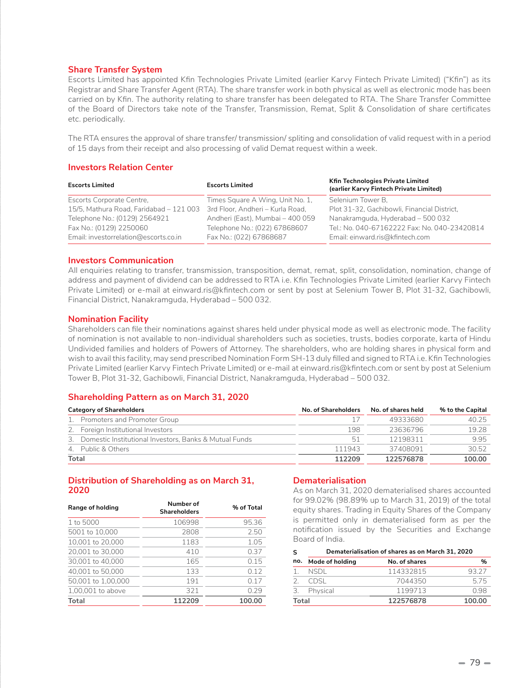### **Share Transfer System**

Escorts Limited has appointed Kfin Technologies Private Limited (earlier Karvy Fintech Private Limited) ("Kfin") as its Registrar and Share Transfer Agent (RTA). The share transfer work in both physical as well as electronic mode has been carried on by Kfin. The authority relating to share transfer has been delegated to RTA. The Share Transfer Committee of the Board of Directors take note of the Transfer, Transmission, Remat, Split & Consolidation of share certificates etc. periodically.

The RTA ensures the approval of share transfer/ transmission/ spliting and consolidation of valid request with in a period of 15 days from their receipt and also processing of valid Demat request within a week.

## **Investors Relation Center**

| <b>Escorts Limited</b>                  | <b>Escorts Limited</b>           | Kfin Technologies Private Limited<br>(earlier Karvy Fintech Private Limited) |
|-----------------------------------------|----------------------------------|------------------------------------------------------------------------------|
| Escorts Corporate Centre,               | Times Square A Wing, Unit No. 1, | Selenium Tower B.                                                            |
| 15/5, Mathura Road, Faridabad - 121 003 | 3rd Floor, Andheri - Kurla Road, | Plot 31-32, Gachibowli, Financial District,                                  |
| Telephone No.: (0129) 2564921           | Andheri (East), Mumbai - 400 059 | Nanakramguda, Hyderabad - 500 032                                            |
| Fax No.: (0129) 2250060                 | Telephone No.: (022) 67868607    | Tel.: No. 040-67162222 Fax: No. 040-23420814                                 |
| Email: investorrelation@escorts.co.in   | Fax No.: (022) 67868687          | Email: einward.ris@kfintech.com                                              |

### **Investors Communication**

All enquiries relating to transfer, transmission, transposition, demat, remat, split, consolidation, nomination, change of address and payment of dividend can be addressed to RTA i.e. Kfin Technologies Private Limited (earlier Karvy Fintech Private Limited) or e-mail at einward.ris@kfintech.com or sent by post at Selenium Tower B, Plot 31-32, Gachibowli, Financial District, Nanakramguda, Hyderabad – 500 032.

### **Nomination Facility**

Shareholders can file their nominations against shares held under physical mode as well as electronic mode. The facility of nomination is not available to non-individual shareholders such as societies, trusts, bodies corporate, karta of Hindu Undivided families and holders of Powers of Attorney. The shareholders, who are holding shares in physical form and wish to avail this facility, may send prescribed Nomination Form SH-13 duly filled and signed to RTA i.e. Kfin Technologies Private Limited (earlier Karvy Fintech Private Limited) or e-mail at einward.ris@kfintech.com or sent by post at Selenium Tower B, Plot 31-32, Gachibowli, Financial District, Nanakramguda, Hyderabad – 500 032.

# **Shareholding Pattern as on March 31, 2020**

| <b>Category of Shareholders</b>                           | No. of Shareholders | No. of shares held | % to the Capital |
|-----------------------------------------------------------|---------------------|--------------------|------------------|
| 1. Promoters and Promoter Group                           |                     | 49333680           | 40 25            |
| 2. Foreign Institutional Investors                        | 198                 | 23636796           | 19.28            |
| 3. Domestic Institutional Investors, Banks & Mutual Funds | 51                  | 12198311           | 995              |
| 4. Public & Others                                        | 111943              | 37408091           | 30.52            |
| Total                                                     | 112209              | 122576878          | 100.00           |

# **Distribution of Shareholding as on March 31, 2020**

| Range of holding   | Number of<br><b>Shareholders</b> | % of Total |
|--------------------|----------------------------------|------------|
| 1 to 5000          | 106998                           | 95.36      |
| 5001 to 10,000     | 2808                             | 2.50       |
| 10,001 to 20,000   | 1183                             | 1.05       |
| 20,001 to 30,000   | 410                              | 0.37       |
| 30,001 to 40,000   | 165                              | 0.15       |
| 40,001 to 50,000   | 133                              | 0.12       |
| 50,001 to 1,00,000 | 191                              | 0.17       |
| 1,00,001 to above  | 321                              | 0.29       |
| Total              | 112209                           | 100.00     |

# **Dematerialisation**

As on March 31, 2020 dematerialised shares accounted for 99.02% (98.89% up to March 31, 2019) of the total equity shares. Trading in Equity Shares of the Company is permitted only in dematerialised form as per the notification issued by the Securities and Exchange Board of India.

|       | Dematerialisation of shares as on March 31, 2020 |               |        |
|-------|--------------------------------------------------|---------------|--------|
|       | no. Mode of holding                              | No. of shares | %      |
|       | NSDI.                                            | 114332815     | 93.27  |
|       | CDSL.                                            | 7044350       | 575    |
| 3.    | Physical                                         | 1199713       | O 98   |
| Total |                                                  | 122576878     | 100.00 |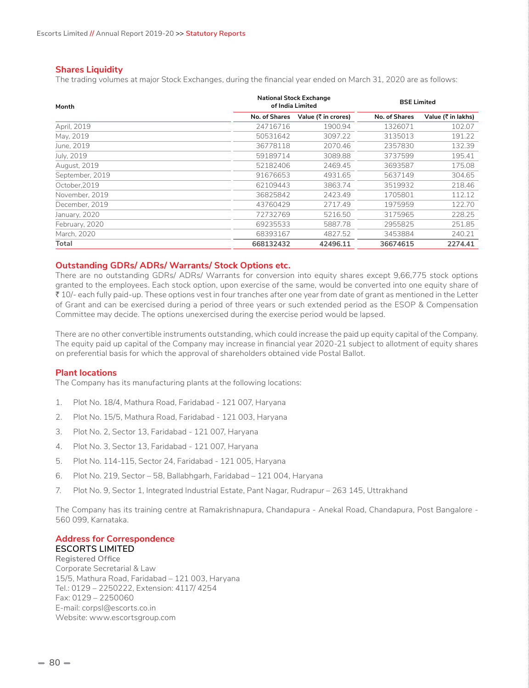# **Shares Liquidity**

The trading volumes at major Stock Exchanges, during the financial year ended on March 31, 2020 are as follows:

| Month           | <b>National Stock Exchange</b><br>of India Limited |                     | <b>BSE Limited</b> |                    |
|-----------------|----------------------------------------------------|---------------------|--------------------|--------------------|
|                 | No. of Shares                                      | Value (₹ in crores) | No. of Shares      | Value (₹ in lakhs) |
| April, 2019     | 24716716                                           | 1900.94             | 1326071            | 102.07             |
| May, 2019       | 50531642                                           | 3097.22             | 3135013            | 191.22             |
| June, 2019      | 36778118                                           | 2070.46             | 2357830            | 132.39             |
| July, 2019      | 59189714                                           | 3089.88             | 3737599            | 195.41             |
| August, 2019    | 52182406                                           | 2469.45             | 3693587            | 175.08             |
| September, 2019 | 91676653                                           | 4931.65             | 5637149            | 304.65             |
| October.2019    | 62109443                                           | 3863.74             | 3519932            | 218.46             |
| November, 2019  | 36825842                                           | 2423.49             | 1705801            | 112.12             |
| December, 2019  | 43760429                                           | 2717.49             | 1975959            | 122.70             |
| January, 2020   | 72732769                                           | 5216.50             | 3175965            | 228.25             |
| February, 2020  | 69235533                                           | 5887.78             | 2955825            | 251.85             |
| March, 2020     | 68393167                                           | 4827.52             | 3453884            | 240.21             |
| Total           | 668132432                                          | 42496.11            | 36674615           | 2274.41            |

# **Outstanding GDRs/ ADRs/ Warrants/ Stock Options etc.**

There are no outstanding GDRs/ ADRs/ Warrants for conversion into equity shares except 9,66,775 stock options granted to the employees. Each stock option, upon exercise of the same, would be converted into one equity share of ₹ 10/- each fully paid-up. These options vest in four tranches after one year from date of grant as mentioned in the Letter of Grant and can be exercised during a period of three years or such extended period as the ESOP & Compensation Committee may decide. The options unexercised during the exercise period would be lapsed.

There are no other convertible instruments outstanding, which could increase the paid up equity capital of the Company. The equity paid up capital of the Company may increase in financial year 2020-21 subject to allotment of equity shares on preferential basis for which the approval of shareholders obtained vide Postal Ballot.

#### **Plant locations**

The Company has its manufacturing plants at the following locations:

- 1. Plot No. 18/4, Mathura Road, Faridabad 121 007, Haryana
- 2. Plot No. 15/5, Mathura Road, Faridabad 121 003, Haryana
- 3. Plot No. 2, Sector 13, Faridabad 121 007, Haryana
- 4. Plot No. 3, Sector 13, Faridabad 121 007, Haryana
- 5. Plot No. 114-115, Sector 24, Faridabad 121 005, Haryana
- 6. Plot No. 219, Sector 58, Ballabhgarh, Faridabad 121 004, Haryana
- 7. Plot No. 9, Sector 1, Integrated Industrial Estate, Pant Nagar, Rudrapur 263 145, Uttrakhand

The Company has its training centre at Ramakrishnapura, Chandapura - Anekal Road, Chandapura, Post Bangalore - 560 099, Karnataka.

### **Address for Correspondence ESCORTS LIMITED**

 **Registered Office** Corporate Secretarial & Law 15/5, Mathura Road, Faridabad – 121 003, Haryana Tel.: 0129 – 2250222, Extension: 4117/ 4254 Fax: 0129 – 2250060 E-mail: corpsl@escorts.co.in Website: www.escortsgroup.com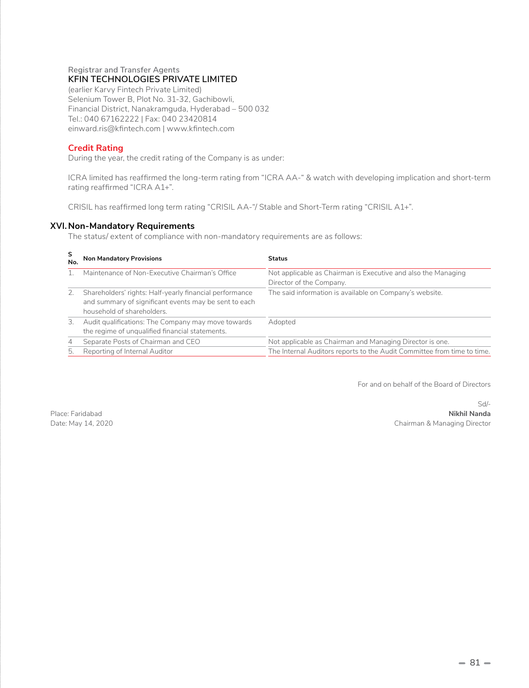# **Registrar and Transfer Agents KFIN TECHNOLOGIES PRIVATE LIMITED**

(earlier Karvy Fintech Private Limited) Selenium Tower B, Plot No. 31-32, Gachibowli, Financial District, Nanakramguda, Hyderabad – 500 032 Tel.: 040 67162222 | Fax: 040 23420814 einward.ris@kfintech.com | www.kfintech.com

# **Credit Rating**

During the year, the credit rating of the Company is as under:

ICRA limited has reaffirmed the long-term rating from "ICRA AA-" & watch with developing implication and short-term rating reaffirmed "ICRA A1+".

CRISIL has reaffirmed long term rating "CRISIL AA-"/ Stable and Short-Term rating "CRISIL A1+".

# **XVI. Non-Mandatory Requirements**

The status/ extent of compliance with non-mandatory requirements are as follows:

| S<br>No.       | <b>Non Mandatory Provisions</b>                                                                                                                | <b>Status</b>                                                                             |
|----------------|------------------------------------------------------------------------------------------------------------------------------------------------|-------------------------------------------------------------------------------------------|
|                | Maintenance of Non-Executive Chairman's Office                                                                                                 | Not applicable as Chairman is Executive and also the Managing<br>Director of the Company. |
| 2.             | Shareholders' rights: Half-yearly financial performance<br>and summary of significant events may be sent to each<br>household of shareholders. | The said information is available on Company's website.                                   |
| 3.             | Audit qualifications: The Company may move towards<br>the regime of unqualified financial statements.                                          | Adopted                                                                                   |
| $\overline{4}$ | Separate Posts of Chairman and CEO                                                                                                             | Not applicable as Chairman and Managing Director is one.                                  |
| 5.             | Reporting of Internal Auditor                                                                                                                  | The Internal Auditors reports to the Audit Committee from time to time.                   |

For and on behalf of the Board of Directors

Sd/- Place: Faridabad **Nikhil Nanda** Date: May 14, 2020 Chairman & Managing Director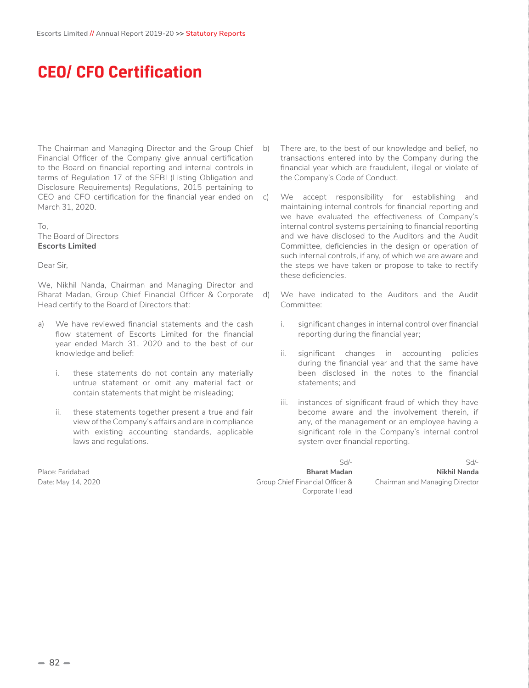# **CEO/ CFO Certification**

The Chairman and Managing Director and the Group Chief Financial Officer of the Company give annual certification to the Board on financial reporting and internal controls in terms of Regulation 17 of the SEBI (Listing Obligation and Disclosure Requirements) Regulations, 2015 pertaining to CEO and CFO certification for the financial year ended on c) March 31, 2020.

#### To, The Board of Directors **Escorts Limited**

Dear Sir,

We, Nikhil Nanda, Chairman and Managing Director and Bharat Madan, Group Chief Financial Officer & Corporate Head certify to the Board of Directors that:

- a) We have reviewed financial statements and the cash flow statement of Escorts Limited for the financial year ended March 31, 2020 and to the best of our knowledge and belief:
	- i. these statements do not contain any materially untrue statement or omit any material fact or contain statements that might be misleading;
	- ii. these statements together present a true and fair view of the Company's affairs and are in compliance with existing accounting standards, applicable laws and regulations.

- There are, to the best of our knowledge and belief, no transactions entered into by the Company during the financial year which are fraudulent, illegal or violate of the Company's Code of Conduct.
- We accept responsibility for establishing and maintaining internal controls for financial reporting and we have evaluated the effectiveness of Company's internal control systems pertaining to financial reporting and we have disclosed to the Auditors and the Audit Committee, deficiencies in the design or operation of such internal controls, if any, of which we are aware and the steps we have taken or propose to take to rectify these deficiencies.
- d) We have indicated to the Auditors and the Audit Committee:
	- i. significant changes in internal control over financial reporting during the financial year;
	- ii. significant changes in accounting policies during the financial year and that the same have been disclosed in the notes to the financial statements; and
	- iii. instances of significant fraud of which they have become aware and the involvement therein, if any, of the management or an employee having a significant role in the Company's internal control system over financial reporting.

Place: Faridabad **Bharat Madan Nikhil Nanda** Date: May 14, 2020 Chief Financial Officer & Corporate Head

Sd/- Sd/- Chairman and Managing Director